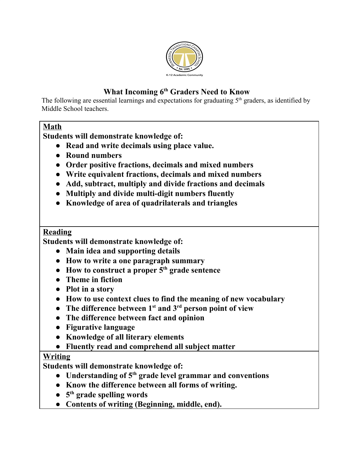

# **What Incoming 6 th Graders Need to Know**

The following are essential learnings and expectations for graduating  $5<sup>th</sup>$  graders, as identified by Middle School teachers.

## **Math**

**Students will demonstrate knowledge of:**

- **● Read and write decimals using place value.**
- **● Round numbers**
- **● Order positive fractions, decimals and mixed numbers**
- **● Write equivalent fractions, decimals and mixed numbers**
- **● Add, subtract, multiply and divide fractions and decimals**
- **● Multiply and divide multi-digit numbers fluently**
- **● Knowledge of area of quadrilaterals and triangles**

## **Reading**

**Students will demonstrate knowledge of:**

- **● Main idea and supporting details**
- **● How to write a one paragraph summary**
- **● How to construct a proper 5 th grade sentence**
- **● Theme in fiction**
- **● Plot in a story**
- **● How to use context clues to find the meaning of new vocabulary**
- **● The difference between 1 st and 3 rd person point of view**
- **● The difference between fact and opinion**
- **● Figurative language**
- **● Knowledge of all literary elements**
- **● Fluently read and comprehend all subject matter**

## **Writing**

**Students will demonstrate knowledge of:**

- **● Understanding of 5 th grade level grammar and conventions**
- **● Know the difference between all forms of writing.**
- **● 5 th grade spelling words**
- **● Contents of writing (Beginning, middle, end).**